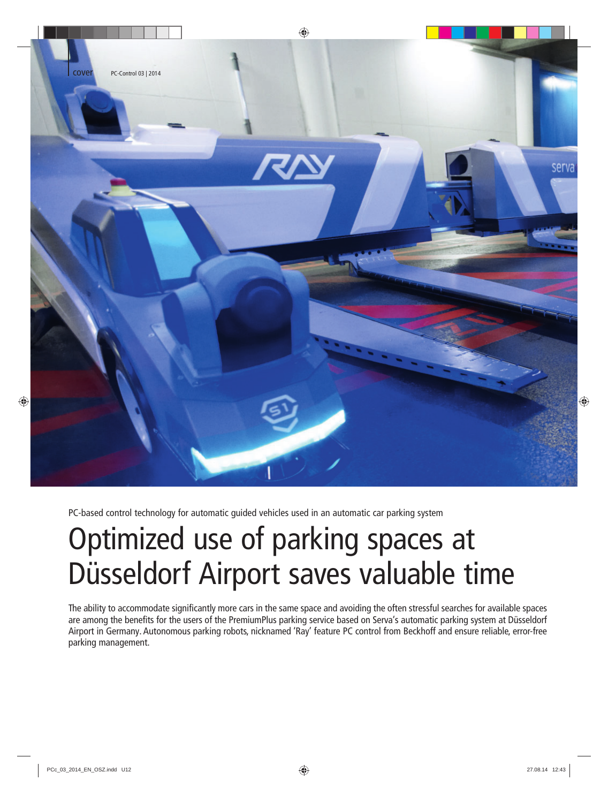

PC-based control technology for automatic guided vehicles used in an automatic car parking system

# Optimized use of parking spaces at Düsseldorf Airport saves valuable time

The ability to accommodate significantly more cars in the same space and avoiding the often stressful searches for available spaces are among the benefits for the users of the PremiumPlus parking service based on Serva's automatic parking system at Düsseldorf Airport in Germany. Autonomous parking robots, nicknamed 'Ray' feature PC control from Beckhoff and ensure reliable, error-free parking management.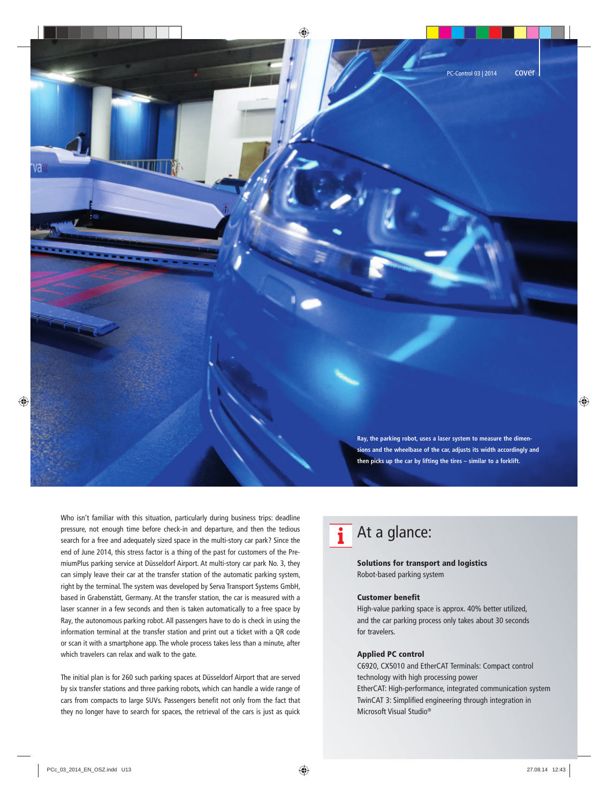Who isn't familiar with this situation, particularly during business trips: deadline pressure, not enough time before check-in and departure, and then the tedious search for a free and adequately sized space in the multi-story car park? Since the end of June 2014, this stress factor is a thing of the past for customers of the PremiumPlus parking service at Düsseldorf Airport. At multi-story car park No. 3, they can simply leave their car at the transfer station of the automatic parking system, right by the terminal. The system was developed by Serva Transport Systems GmbH, based in Grabenstätt, Germany. At the transfer station, the car is measured with a laser scanner in a few seconds and then is taken automatically to a free space by Ray, the autonomous parking robot. All passengers have to do is check in using the information terminal at the transfer station and print out a ticket with a QR code or scan it with a smartphone app. The whole process takes less than a minute, after which travelers can relax and walk to the gate.

The initial plan is for 260 such parking spaces at Düsseldorf Airport that are served by six transfer stations and three parking robots, which can handle a wide range of cars from compacts to large SUVs. Passengers benefit not only from the fact that they no longer have to search for spaces, the retrieval of the cars is just as quick

**Ray, the parking robot, uses a laser system to measure the dimensions and the wheelbase of the car, adjusts its width accordingly and then picks up the car by lifting the tires – similar to a forklift.**

# At a glance:

# Solutions for transport and logistics Robot-based parking system

# Customer benefit

High-value parking space is approx. 40% better utilized, and the car parking process only takes about 30 seconds for travelers.

# Applied PC control

C6920, CX5010 and EtherCAT Terminals: Compact control technology with high processing power EtherCAT: High-performance, integrated communication system TwinCAT 3: Simplified engineering through integration in Microsoft Visual Studio®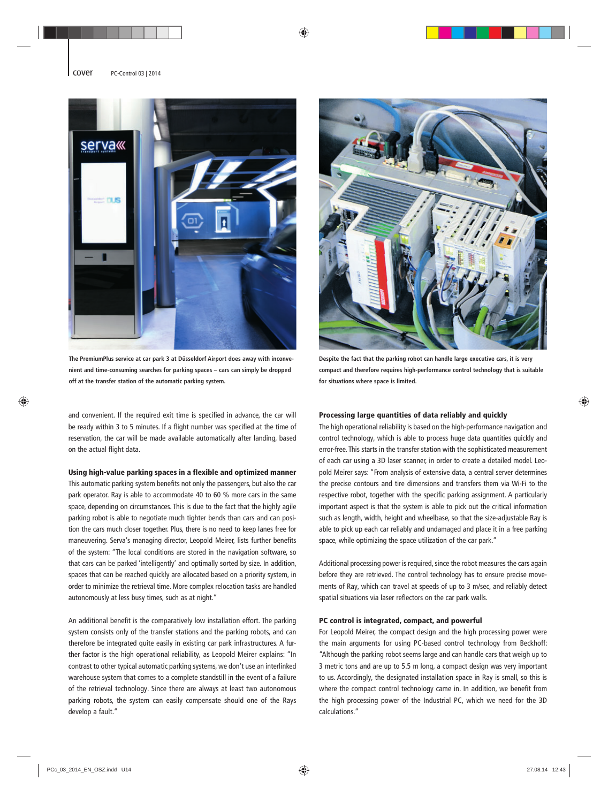

**The PremiumPlus service at car park 3 at Düsseldorf Airport does away with inconvenient and time-consuming searches for parking spaces – cars can simply be dropped off at the transfer station of the automatic parking system.**

and convenient. If the required exit time is specified in advance, the car will be ready within 3 to 5 minutes. If a flight number was specified at the time of reservation, the car will be made available automatically after landing, based on the actual flight data.

### Using high-value parking spaces in a flexible and optimized manner

This automatic parking system benefits not only the passengers, but also the car park operator. Ray is able to accommodate 40 to 60 % more cars in the same space, depending on circumstances. This is due to the fact that the highly agile parking robot is able to negotiate much tighter bends than cars and can position the cars much closer together. Plus, there is no need to keep lanes free for maneuvering. Serva's managing director, Leopold Meirer, lists further benefits of the system: "The local conditions are stored in the navigation software, so that cars can be parked 'intelligently' and optimally sorted by size. In addition, spaces that can be reached quickly are allocated based on a priority system, in order to minimize the retrieval time. More complex relocation tasks are handled autonomously at less busy times, such as at night."

An additional benefit is the comparatively low installation effort. The parking system consists only of the transfer stations and the parking robots, and can therefore be integrated quite easily in existing car park infrastructures. A further factor is the high operational reliability, as Leopold Meirer explains: "In contrast to other typical automatic parking systems, we don't use an interlinked warehouse system that comes to a complete standstill in the event of a failure of the retrieval technology. Since there are always at least two autonomous parking robots, the system can easily compensate should one of the Rays develop a fault."



**Despite the fact that the parking robot can handle large executive cars, it is very compact and therefore requires high-performance control technology that is suitable for situations where space is limited.**

## Processing large quantities of data reliably and quickly

The high operational reliability is based on the high-performance navigation and control technology, which is able to process huge data quantities quickly and error-free. This starts in the transfer station with the sophisticated measurement of each car using a 3D laser scanner, in order to create a detailed model. Leopold Meirer says: "From analysis of extensive data, a central server determines the precise contours and tire dimensions and transfers them via Wi-Fi to the respective robot, together with the specific parking assignment. A particularly important aspect is that the system is able to pick out the critical information such as length, width, height and wheelbase, so that the size-adjustable Ray is able to pick up each car reliably and undamaged and place it in a free parking space, while optimizing the space utilization of the car park."

Additional processing power is required, since the robot measures the cars again before they are retrieved. The control technology has to ensure precise movements of Ray, which can travel at speeds of up to 3 m/sec, and reliably detect spatial situations via laser reflectors on the car park walls.

### PC control is integrated, compact, and powerful

For Leopold Meirer, the compact design and the high processing power were the main arguments for using PC-based control technology from Beckhoff: "Although the parking robot seems large and can handle cars that weigh up to 3 metric tons and are up to 5.5 m long, a compact design was very important to us. Accordingly, the designated installation space in Ray is small, so this is where the compact control technology came in. In addition, we benefit from the high processing power of the Industrial PC, which we need for the 3D calculations."